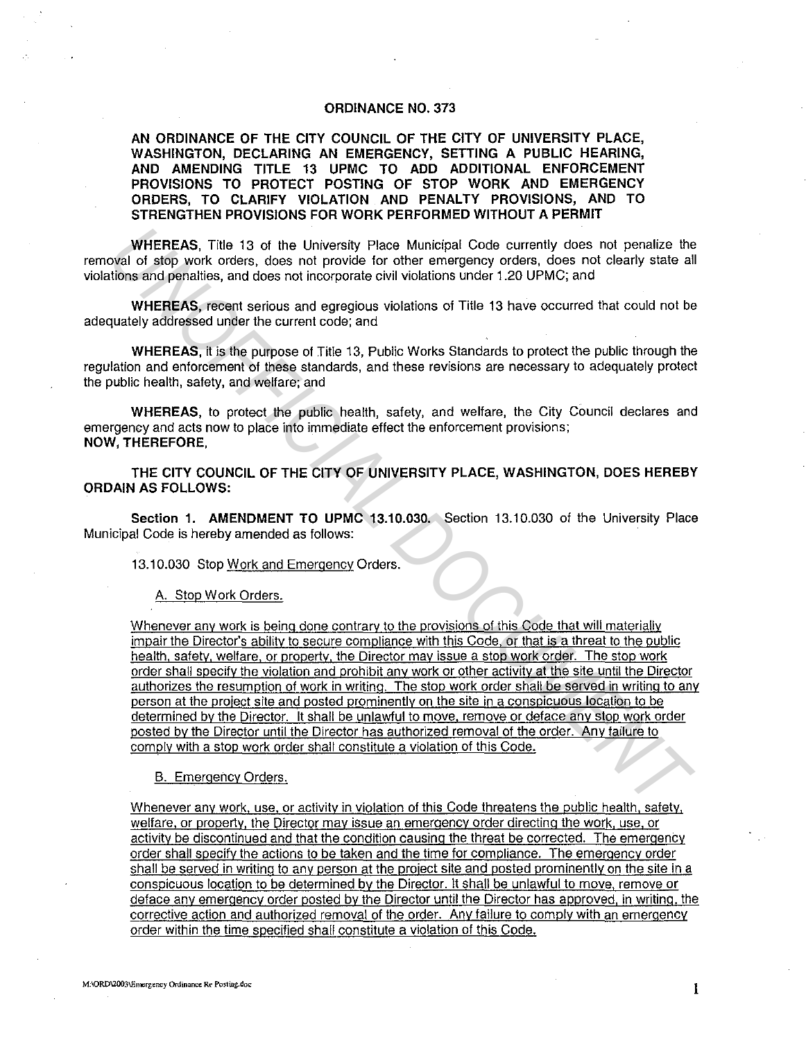## **ORDINANCE NO. 373**

**AN ORDINANCE OF THE CITY COUNCIL OF THE CITY OF UNIVERSITY PLACE, WASHINGTON, DECLARING AN EMERGENCY, SETTING A PUBLIC HEARING, AND AMENDING TITLE 13 UPMC TO ADD ADDITIONAL ENFORCEMENT PROVISIONS TO PROTECT POSTING OF STOP WORK AND EMERGENCY ORDERS, TO CLARIFY VIOLATION AND PENALTY PROVISIONS, AND TO STRENGTHEN PROVISIONS FOR WORK PERFORMED WITHOUT A PERMIT** 

**WHEREAS,** Title 13 of the University Place Municipal Code currently does not penalize the removal of stop work orders, does not provide for other emergency orders, does not clearly state all violations and penalties, and does not incorporate civil violations under 1.20 UPMC; and

**WHEREAS,** recent serious and egregious violations of Title 13 have occurred that could not be adequately addressed under the current code; and

**WHEREAS,** it is the purpose of Title 13, Public Works Standards to protect the public through the regulation and enforcement of these standards, and these revisions are necessary to adequately protect the public health, safety, and welfare; and

**WHEREAS,** to protect the public health, safety, and welfare, the City Council declares and emergency and acts now to place into immediate effect the enforcement provisions; **NOW, THEREFORE,** 

**THE CITY COUNCIL OF THE CITY OF UNIVERSITY PLACE, WASHINGTON, DOES HEREBY ORDAIN AS FOLLOWS:** 

**Section 1. AMENDMENT TO UPMC 13.10.030.** Section 13.10.030 of the University Place Municipal Code is hereby amended as follows:

13.10.030 Stop Work and Emergency Orders.

A. Stop Work Orders.

Whenever any work is being done contrary to the provisions of this Code that will materially impair the Director's ability to secure compliance with this Code, or that is a threat to the public health, safety, welfare. or property, the Director may issue a stop work order. The stop work order shall specify the violation and prohibit any work or other activity at the site until the Director authorizes the resumption of work in writing. The stop work order shall be served in writing to any person at the project site and posted prominently on the site in a conspicuous location to be determined by the Director. It shall be unlawful to move, remove or deface any stop work order posted by the Director until the Director has authorized removal of the order. Any failure to comply with a stop work order shall constitute a violation of this Code. **WHEREAS, Title 13 of the University Place Municipal Code currently does not penalize the<br>void of sign work orders, does not provide for other emergency orders, does not dearly state all<br>tions and penalities, and does not** 

B. Emergency Orders.

Whenever any work, use, or activity in violation of this Code threatens the public health, safety, welfare. or property. the Director may issue an emergency order directing the work. use, or activity be discontinued and that the condition causing the threat be corrected. The emergency order shall specify the actions to be taken and the time for compliance. The emergency order shall be served in writing to any person at the project site and posted prominently on the site in a conspicuous location to be determined by the Director. It shall be unlawful to move. remove or deface any emergency order posted by the Director until the Director has approved, in writing. the corrective action and authorized removal of the order. Any failure to comply with an emergency order within the time specified shall constitute a violation of this Code.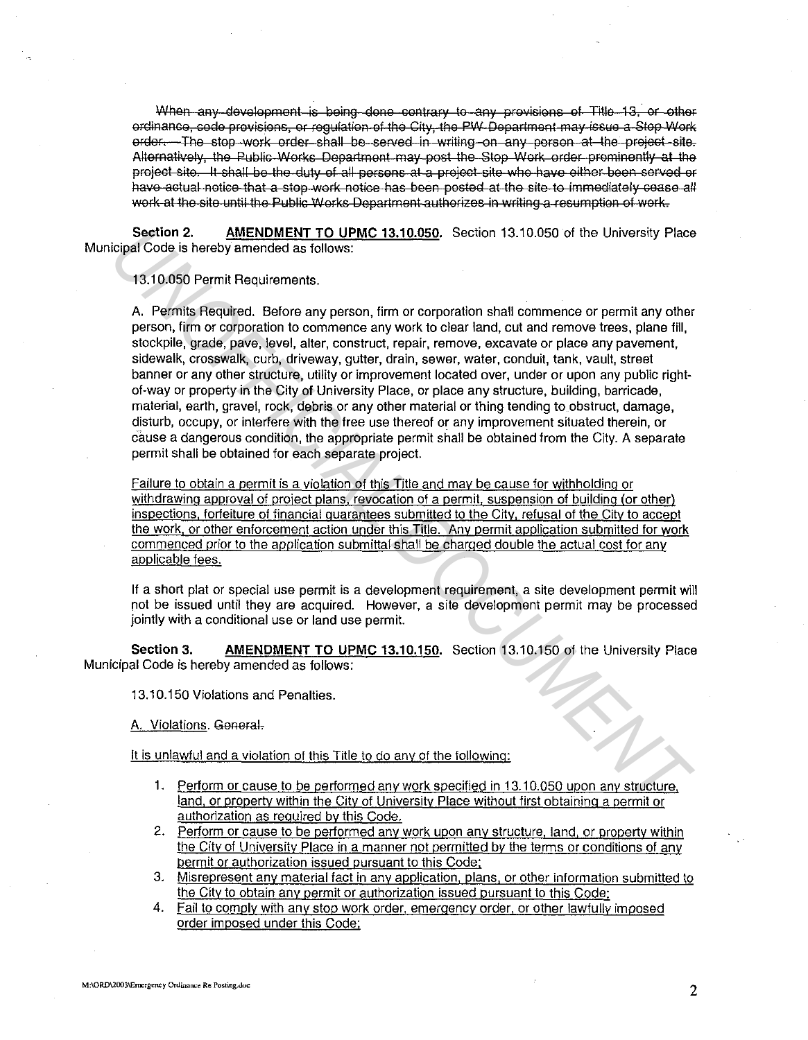When any development is being done contrary to any provisions of Title 13, or other ordinance, code provisions, or requiation of the City, the PW Department may issue a Stop Work order. The stop work order shall be served in writing on any person at the project site. Alternatively, the Public Works Department may post the Stop Work order prominently at the project site. It shall be the duty of all persons at a project site who have either been served or have actual notice that a stop work notice has been posted at the site to immediately cease all work at the site until the Public Works Department authorizes in writing a resumption of work.

**Section 2. AMENDMENT TO UPMC 13.10.050.** Section 13.10.050 of the University Place Municipal Code is hereby amended as follows:

13.10.050 Permit Requirements.

A. Permits Required. Before any person, firm or corporation shall commence or permit any other person, firm or corporation to commence any work to clear land, cut and remove trees, plane fill, stockpile, grade, pave, level, alter, construct, repair, remove, excavate or place any pavement, sidewalk, crosswalk, curb, driveway, gutter, drain, sewer, water, conduit, tank, vault, street banner or any other structure, utility or improvement located over, under or upon any public rightof-way or property in the City of University Place, or place any structure, building, barricade, material, earth, gravel, rock, debris or any other material or thing tending to. obstruct, damage, disturb, occupy, or interfere with the free use thereof or any improvement situated therein, or cause a dangerous condition, the appropriate permit shall be obtained from the City. A separate permit shall be obtained for each separate project. Section 2. **AMENOMENT TO UPMC 13.10.050**. Section 13.10.050 of the University Place<br>
Unigal Code is hereby amended as follows:<br>
13.10.050 Permit Requirements.<br>
A. Permits Required. Before any person, firm or corporation sh

Failure to obtain a permit is a violation of this Title and may be cause for withholding or withdrawing approval of project plans, revocation of a permit. suspension of building (or other) inspections, forfeiture of financial guarantees submitted to the City, refusal of the City to accept the work. or other enforcement action under this Title. Any permit application submitted for work commenced prior to the application submittal shall be charged double the actual cost for any applicable fees.

If a short plat or special use permit is a development requirement, a site development permit will not be issued until they are acquired. However, a site development permit may be processed jointly with a conditional use or land use permit.

**Section 3. AMENDMENT TO UPMC 13.10.150.** Section 13.10.150 of the University Place Municipal Code is hereby amended as follows:

13.10.150 Violations and Penalties.

A. Violations. General.

It is unlawful and a violation of this Title to do any of the following:

- 1. Perform or cause to be performed *anv* work specified in 13.10.050 upon any structure, land, or property within the City of University Place without first obtaining a permit or authorization as required by this Code.
- 2. Perform or cause to be performed any work upon any structure, land, or property within the City of University Place in a manner not permitted by the terms or conditions of any permit or authorization issued pursuant to this Code;
- 3. Misrepresent any material fact in any application, plans, or other information submitted to the City to obtain any permit or authorization issued pursuant to this Code;
- 4. Fail to comply with any stop work order, emergency order, or other lawfully imposed order imposed under this Code;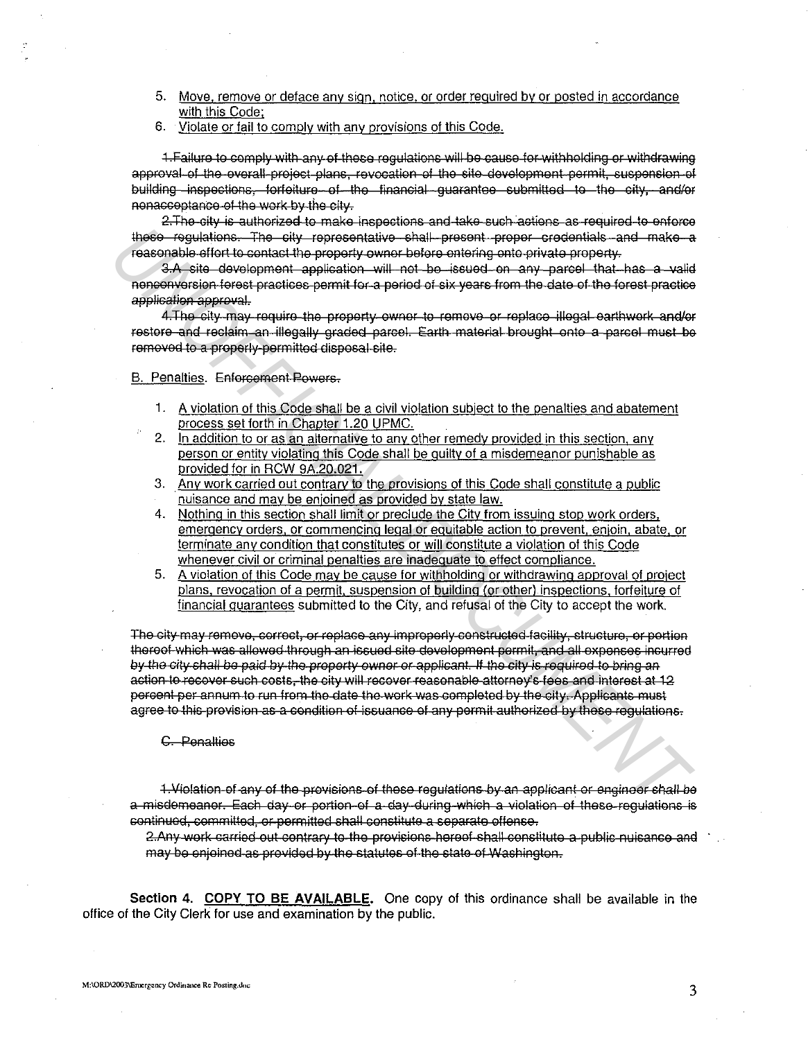- 5. Move. remove or deface any sign. notice, or order required by or posted in accordance with this Code;
- 6. Violate or fail to comply with any provisions of this Code.

1. Failure to comply with any of these regulations will be cause for withholding or withdrawing approval of the overall project plans, revocation of the site development permit, suspension of building inspections, forfeiture of the financial quarantee submitted to the city, and/or nonaccoptanso of the work by the city.

2. The city is authorized to make inspections and take such actions as required to enforce these requiations. The sity representative shall present proper credentials and make a reasonable effort to contact the property owner before entering onto private property.

3.A site development application will not be issued on any parcel that has a valid nenconvorsion forest practices permit for a period of six years from the date of the forest practice application approval.

4. The city may require the property owner to remove or replace illegal earthwork and/or restore and reclaim an illegally graded parcel. Earth material breught onto a parcel must be removed to a properly permitted disposal cite.

## B. Penalties. Enforcement Powers-

- 1. A violation of this Code shall be a civil violation subject to the penalties and abatement process set forth in Chapter 1.20 UPMC.
- 2. In addition to or as an alternative to any other remedy provided in this section, any person or entity violating this Code shall be guilty of a misdemeanor punishable as provided for in RCW 9A.20.021.
- 3. Any work carried out contrary to the provisions of this Code shall constitute a public ·nuisance and may be enjoined as provided by state law.
- 4. Nothing in this section shall limit or preclude the City from issuing stop work orders, emergency orders, or commencing legal or equitable action to prevent, enjoin, abate, or terminate any condition that constitutes or will constitute a violation of this Code whenever civil or criminal penalties are inadequate to effect compliance.
- 5. A violation of this Code may be cause for withholding or withdrawing approval of project plans, revocation of a permit, suspension of building (or other) inspections, forfeiture of financial guarantees submitted to the City, and refusal of the City to accept the work.

The city may remove, correct, or replace any improperly constructed facility, structure, or portion thereof which was allowed through an issued site development permit, and all expenses incurred by the city shall be paid by the property owner or applicant. If the city is required to bring an action to recover such costs, the city will recover reasonable attorney's fees and interest at 12 percent per annum to run from the date the work was completed by the city. Applicants must agree to this provision as a condition of issuance of any permit authorized by these regulations. The theoreap interest of the contract of the contract of the contract of the contract of the contract of the contract of the contract of the second of the second of the second of the second of the second of the second of

## C. Penalties

1. Violation of any of the provisions of these requiations by an applicant or engineer shall be a misdemeanor. Each day or portion of a day during which a violation of these requlations is continued, committed, or permitted shall constitute a separate offense.

2.Any work carried out contrary to the provisions hereof shall constitute a public nuisance and may be enjoined as provided by the statutes of the state of Washington.

**Section 4. COPY TO BE AVAILABLE.** One copy of this ordinance shall be available in the office of the City Clerk for use and examination by the public.